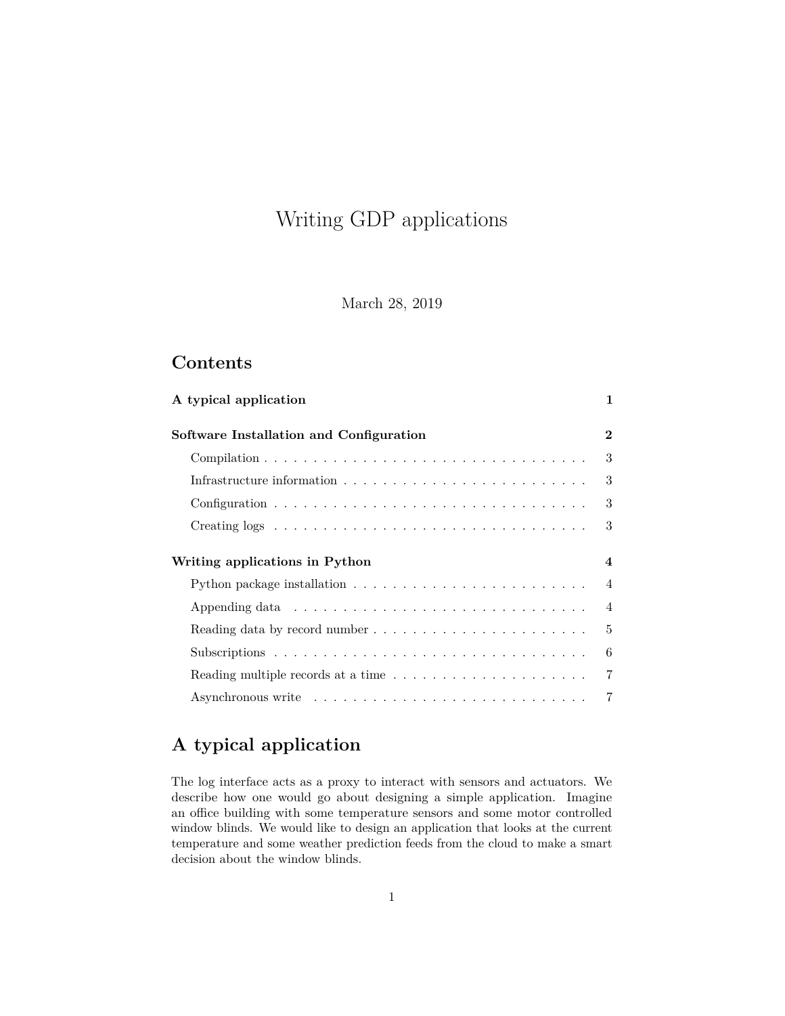# Writing GDP applications

March 28, 2019

# **Contents**

| A typical application                                                                 | 1              |
|---------------------------------------------------------------------------------------|----------------|
| Software Installation and Configuration                                               | $\bf{2}$       |
|                                                                                       | 3              |
|                                                                                       | 3              |
|                                                                                       | 3              |
|                                                                                       | 3              |
| Writing applications in Python                                                        | $\overline{4}$ |
|                                                                                       | $\overline{4}$ |
|                                                                                       | $\overline{4}$ |
|                                                                                       | 5              |
|                                                                                       | 6              |
| Reading multiple records at a time $\ldots \ldots \ldots \ldots \ldots \ldots \ldots$ | 7              |
|                                                                                       | 7              |

# <span id="page-0-0"></span>**A typical application**

The log interface acts as a proxy to interact with sensors and actuators. We describe how one would go about designing a simple application. Imagine an office building with some temperature sensors and some motor controlled window blinds. We would like to design an application that looks at the current temperature and some weather prediction feeds from the cloud to make a smart decision about the window blinds.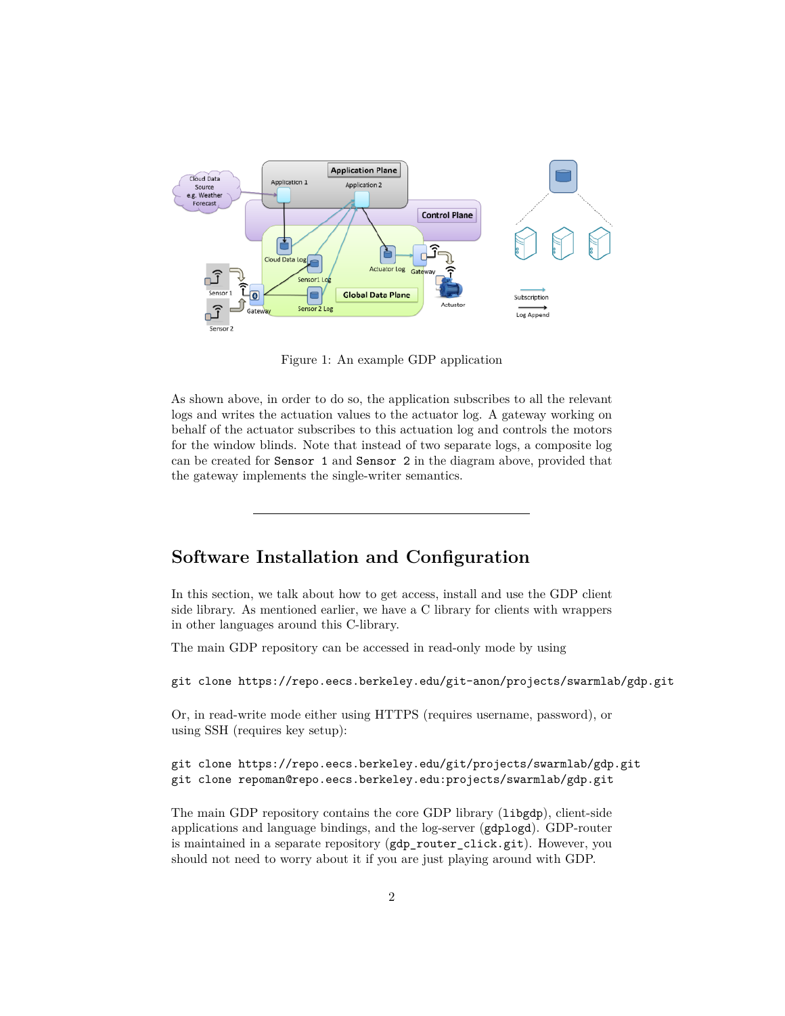

Figure 1: An example GDP application

As shown above, in order to do so, the application subscribes to all the relevant logs and writes the actuation values to the actuator log. A gateway working on behalf of the actuator subscribes to this actuation log and controls the motors for the window blinds. Note that instead of two separate logs, a composite log can be created for Sensor 1 and Sensor 2 in the diagram above, provided that the gateway implements the single-writer semantics.

# <span id="page-1-0"></span>**Software Installation and Configuration**

In this section, we talk about how to get access, install and use the GDP client side library. As mentioned earlier, we have a C library for clients with wrappers in other languages around this C-library.

The main GDP repository can be accessed in read-only mode by using

git clone https://repo.eecs.berkeley.edu/git-anon/projects/swarmlab/gdp.git

Or, in read-write mode either using HTTPS (requires username, password), or using SSH (requires key setup):

```
git clone https://repo.eecs.berkeley.edu/git/projects/swarmlab/gdp.git
git clone repoman@repo.eecs.berkeley.edu:projects/swarmlab/gdp.git
```
The main GDP repository contains the core GDP library (libgdp), client-side applications and language bindings, and the log-server (gdplogd). GDP-router is maintained in a separate repository (gdp\_router\_click.git). However, you should not need to worry about it if you are just playing around with GDP.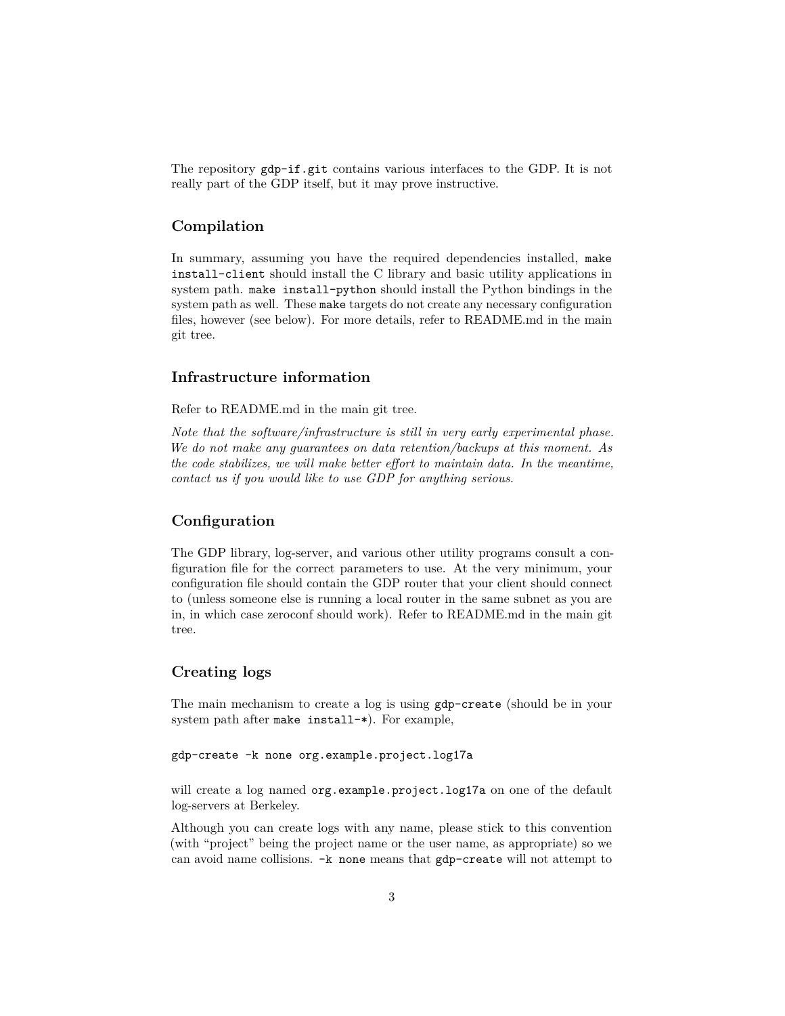The repository gdp-if.git contains various interfaces to the GDP. It is not really part of the GDP itself, but it may prove instructive.

### <span id="page-2-0"></span>**Compilation**

In summary, assuming you have the required dependencies installed, make install-client should install the C library and basic utility applications in system path. make install-python should install the Python bindings in the system path as well. These make targets do not create any necessary configuration files, however (see below). For more details, refer to README.md in the main git tree.

#### <span id="page-2-1"></span>**Infrastructure information**

Refer to README.md in the main git tree.

*Note that the software/infrastructure is still in very early experimental phase. We do not make any guarantees on data retention/backups at this moment. As the code stabilizes, we will make better effort to maintain data. In the meantime, contact us if you would like to use GDP for anything serious.*

## <span id="page-2-2"></span>**Configuration**

The GDP library, log-server, and various other utility programs consult a configuration file for the correct parameters to use. At the very minimum, your configuration file should contain the GDP router that your client should connect to (unless someone else is running a local router in the same subnet as you are in, in which case zeroconf should work). Refer to README.md in the main git tree.

### <span id="page-2-3"></span>**Creating logs**

The main mechanism to create a log is using gdp-create (should be in your system path after make install-\*). For example,

#### gdp-create -k none org.example.project.log17a

will create a log named org.example.project.log17a on one of the default log-servers at Berkeley.

Although you can create logs with any name, please stick to this convention (with "project" being the project name or the user name, as appropriate) so we can avoid name collisions. -k none means that gdp-create will not attempt to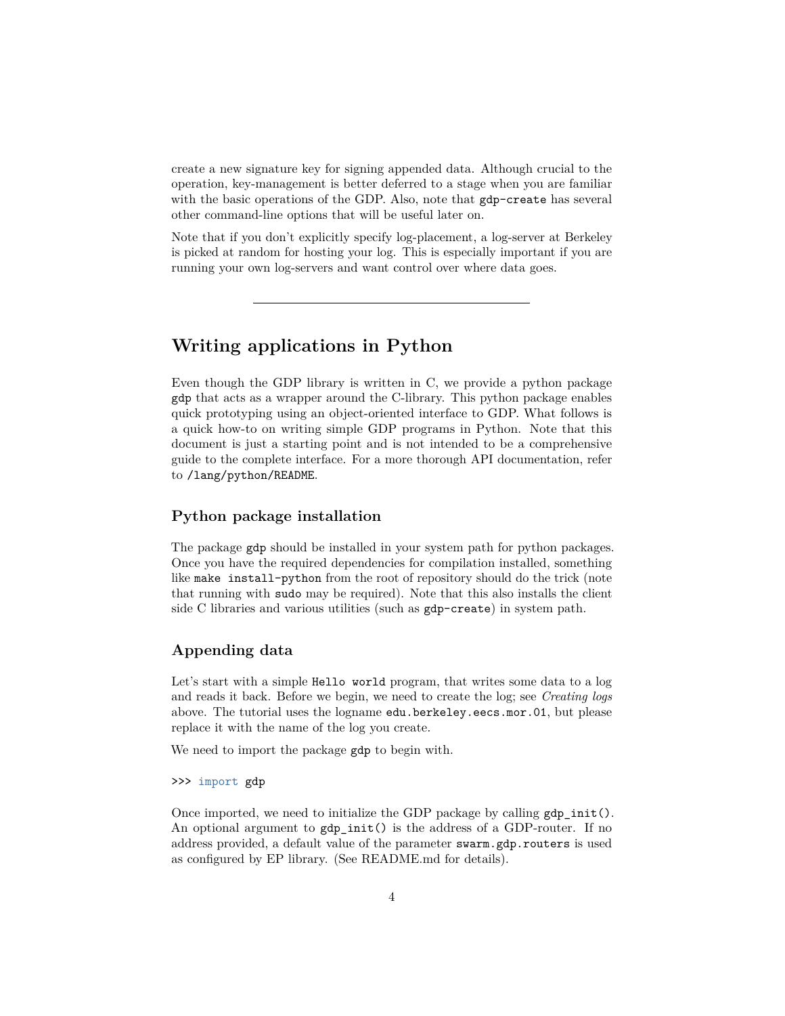create a new signature key for signing appended data. Although crucial to the operation, key-management is better deferred to a stage when you are familiar with the basic operations of the GDP. Also, note that  $gdp$ -create has several other command-line options that will be useful later on.

Note that if you don't explicitly specify log-placement, a log-server at Berkeley is picked at random for hosting your log. This is especially important if you are running your own log-servers and want control over where data goes.

# <span id="page-3-0"></span>**Writing applications in Python**

Even though the GDP library is written in C, we provide a python package gdp that acts as a wrapper around the C-library. This python package enables quick prototyping using an object-oriented interface to GDP. What follows is a quick how-to on writing simple GDP programs in Python. Note that this document is just a starting point and is not intended to be a comprehensive guide to the complete interface. For a more thorough API documentation, refer to /lang/python/README.

### <span id="page-3-1"></span>**Python package installation**

The package gdp should be installed in your system path for python packages. Once you have the required dependencies for compilation installed, something like make install-python from the root of repository should do the trick (note that running with sudo may be required). Note that this also installs the client side C libraries and various utilities (such as gdp-create) in system path.

### <span id="page-3-2"></span>**Appending data**

Let's start with a simple Hello world program, that writes some data to a log and reads it back. Before we begin, we need to create the log; see *Creating logs* above. The tutorial uses the logname edu.berkeley.eecs.mor.01, but please replace it with the name of the log you create.

We need to import the package gdp to begin with.

#### >>> import gdp

Once imported, we need to initialize the GDP package by calling  $gdp$  init(). An optional argument to  $gdp$  init() is the address of a GDP-router. If no address provided, a default value of the parameter swarm.gdp.routers is used as configured by EP library. (See README.md for details).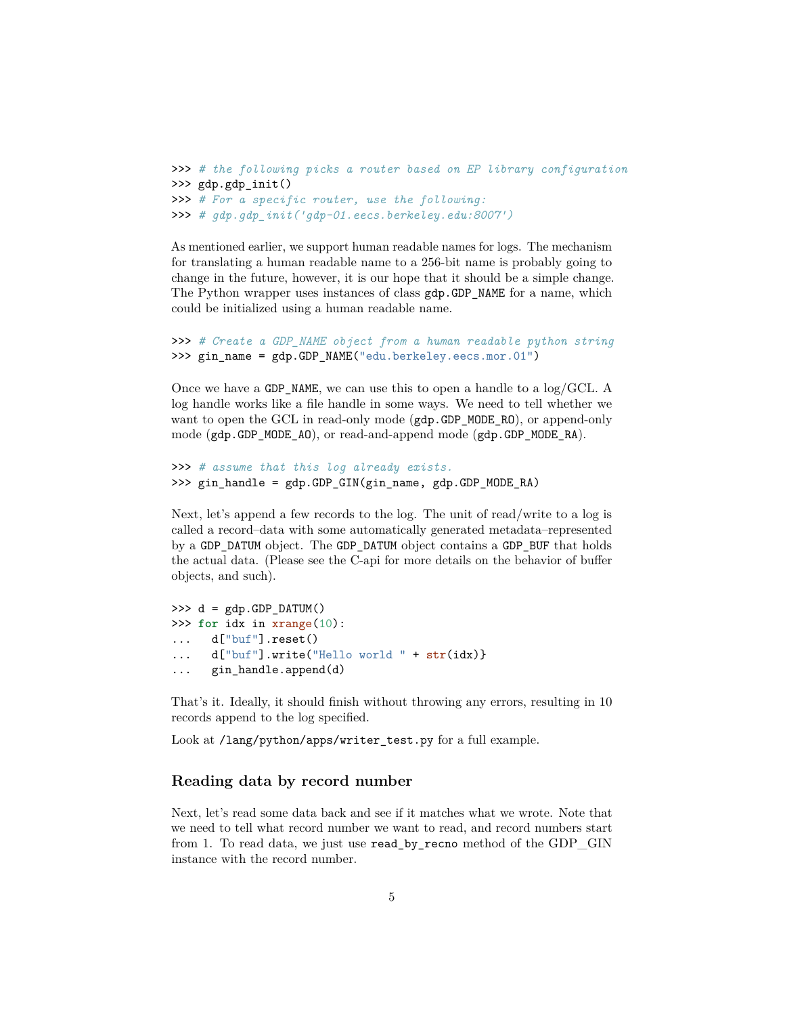```
>>> # the following picks a router based on EP library configuration
>>> gdp.gdp_init()
>>> # For a specific router, use the following:
>>> # gdp.gdp_init('gdp-01.eecs.berkeley.edu:8007')
```
As mentioned earlier, we support human readable names for logs. The mechanism for translating a human readable name to a 256-bit name is probably going to change in the future, however, it is our hope that it should be a simple change. The Python wrapper uses instances of class  $gdp$ .GDP NAME for a name, which could be initialized using a human readable name.

```
>>> # Create a GDP_NAME object from a human readable python string
>>> gin_name = gdp.GDP_NAME("edu.berkeley.eecs.mor.01")
```
Once we have a GDP\_NAME, we can use this to open a handle to a log/GCL. A log handle works like a file handle in some ways. We need to tell whether we want to open the GCL in read-only mode (gdp.GDP\_MODE\_RO), or append-only mode (gdp.GDP\_MODE\_AO), or read-and-append mode (gdp.GDP\_MODE\_RA).

```
>>> # assume that this log already exists.
>>> gin_handle = gdp.GDP_GIN(gin_name, gdp.GDP_MODE_RA)
```
Next, let's append a few records to the log. The unit of read/write to a log is called a record–data with some automatically generated metadata–represented by a GDP\_DATUM object. The GDP\_DATUM object contains a GDP\_BUF that holds the actual data. (Please see the C-api for more details on the behavior of buffer objects, and such).

```
\Rightarrow d = gdp.GDP_DATUM()
>>> for idx in xrange(10):
... d["buf"].reset()
... d["buf"].write("Hello world " + str(idx)}
... gin_handle.append(d)
```
That's it. Ideally, it should finish without throwing any errors, resulting in 10 records append to the log specified.

Look at /lang/python/apps/writer\_test.py for a full example.

### <span id="page-4-0"></span>**Reading data by record number**

Next, let's read some data back and see if it matches what we wrote. Note that we need to tell what record number we want to read, and record numbers start from 1. To read data, we just use read\_by\_recno method of the GDP\_GIN instance with the record number.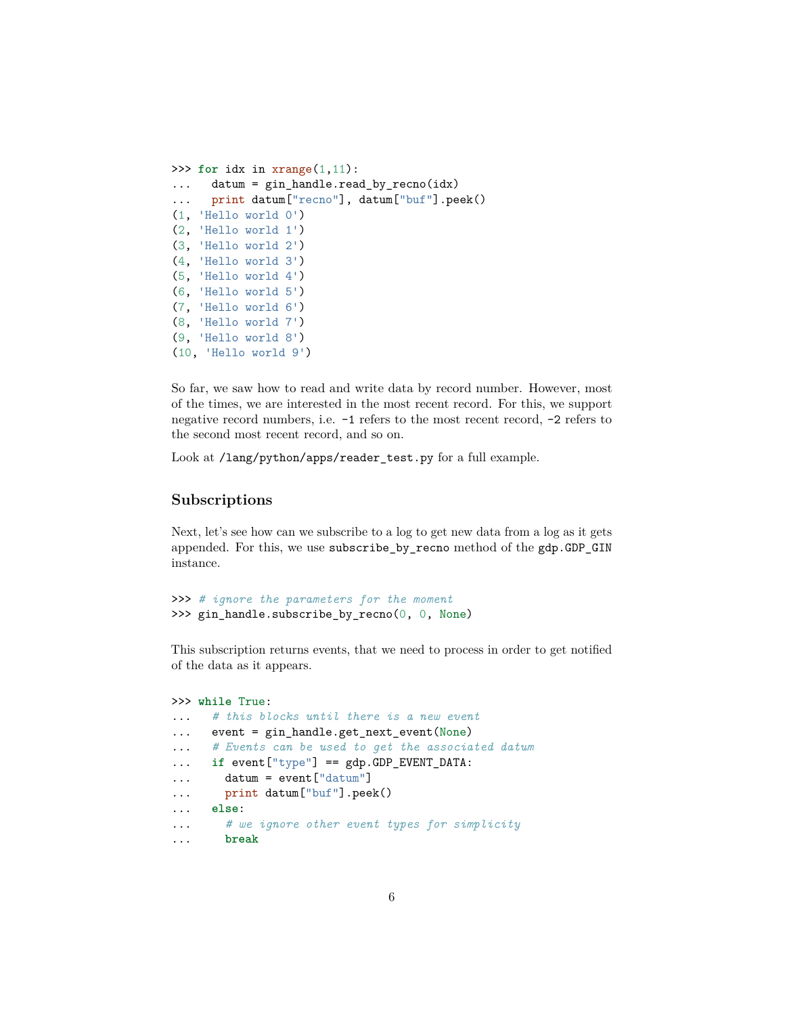```
>>> for idx in xrange(1,11):
... datum = gin_handle.read_by_recno(idx)
... print datum["recno"], datum["buf"].peek()
(1, 'Hello world 0')
(2, 'Hello world 1')
(3, 'Hello world 2')
(4, 'Hello world 3')
(5, 'Hello world 4')
(6, 'Hello world 5')
(7, 'Hello world 6')
(8, 'Hello world 7')
(9, 'Hello world 8')
(10, 'Hello world 9')
```
So far, we saw how to read and write data by record number. However, most of the times, we are interested in the most recent record. For this, we support negative record numbers, i.e. -1 refers to the most recent record, -2 refers to the second most recent record, and so on.

Look at /lang/python/apps/reader\_test.py for a full example.

### <span id="page-5-0"></span>**Subscriptions**

Next, let's see how can we subscribe to a log to get new data from a log as it gets appended. For this, we use subscribe\_by\_recno method of the gdp.GDP\_GIN instance.

```
>>> # ignore the parameters for the moment
>>> gin_handle.subscribe_by_recno(0, 0, None)
```
This subscription returns events, that we need to process in order to get notified of the data as it appears.

```
>>> while True:
... # this blocks until there is a new event
... event = gin_handle.get_next_event(None)
... # Events can be used to get the associated datum
... if event["type"] == gdp.GDP_EVENT_DATA:
... datum = event["datum"]
... print datum["buf"].peek()
... else:
... # we ignore other event types for simplicity
... break
```